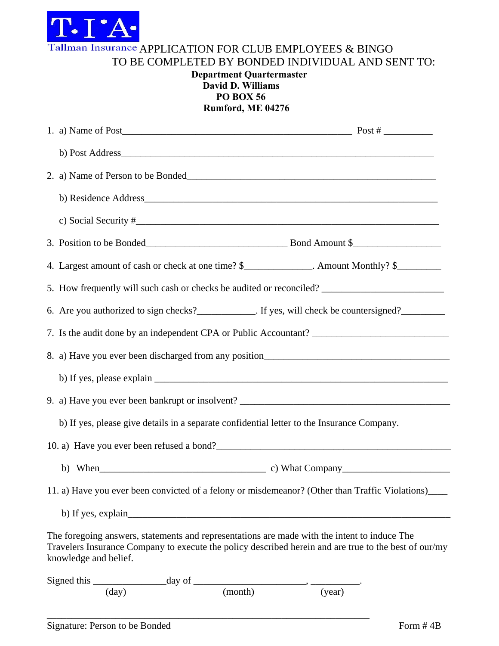

Tallman Insurance APPLICATION FOR CLUB EMPLOYEES & BINGO

TO BE COMPLETED BY BONDED INDIVIDUAL AND SENT TO:

## **Department Quartermaster David D. Williams PO BOX 56 Rumford, ME 04276**

| b) Post Address_                                                                                                                                                                                                               |                                                         |
|--------------------------------------------------------------------------------------------------------------------------------------------------------------------------------------------------------------------------------|---------------------------------------------------------|
|                                                                                                                                                                                                                                |                                                         |
|                                                                                                                                                                                                                                |                                                         |
| c) Social Security $\#$                                                                                                                                                                                                        |                                                         |
| 3. Position to be Bonded Bond Amount \$                                                                                                                                                                                        |                                                         |
| 4. Largest amount of cash or check at one time? \$_____________. Amount Monthly? \$___________________                                                                                                                         |                                                         |
| 5. How frequently will such cash or checks be audited or reconciled?                                                                                                                                                           |                                                         |
| 6. Are you authorized to sign checks?______________. If yes, will check be countersigned?__________                                                                                                                            |                                                         |
|                                                                                                                                                                                                                                |                                                         |
|                                                                                                                                                                                                                                |                                                         |
|                                                                                                                                                                                                                                |                                                         |
|                                                                                                                                                                                                                                |                                                         |
| b) If yes, please give details in a separate confidential letter to the Insurance Company.                                                                                                                                     |                                                         |
|                                                                                                                                                                                                                                |                                                         |
|                                                                                                                                                                                                                                | b) When $\qquad \qquad$ c) What Company $\qquad \qquad$ |
| 11. a) Have you ever been convicted of a felony or misdemeanor? (Other than Traffic Violations)____                                                                                                                            |                                                         |
| b) If yes, explain                                                                                                                                                                                                             |                                                         |
| The foregoing answers, statements and representations are made with the intent to induce The<br>Travelers Insurance Company to execute the policy described herein and are true to the best of our/my<br>knowledge and belief. |                                                         |
| Signed this $\frac{day}{(day)}$ day of $\frac{1}{(month)}$ , $\frac{1}{(year)}$ .                                                                                                                                              |                                                         |
|                                                                                                                                                                                                                                |                                                         |

\_\_\_\_\_\_\_\_\_\_\_\_\_\_\_\_\_\_\_\_\_\_\_\_\_\_\_\_\_\_\_\_\_\_\_\_\_\_\_\_\_\_\_\_\_\_\_\_\_\_\_\_\_\_\_\_\_\_\_\_\_\_\_\_\_\_